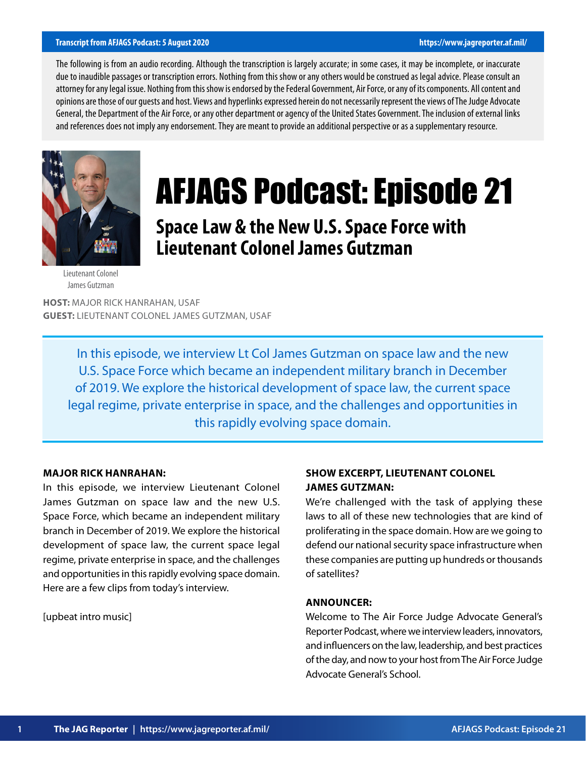#### **Transcript from AFJAGS Podcast: 5 August 2020 https://www.jagreporter.af.mil/**

The following is from an audio recording. Although the transcription is largely accurate; in some cases, it may be incomplete, or inaccurate due to inaudible passages or transcription errors. Nothing from this show or any others would be construed as legal advice. Please consult an attorney for any legal issue. Nothing from this show is endorsed by the Federal Government, Air Force, or any of its components. All content and opinions are those of our guests and host. Views and hyperlinks expressed herein do not necessarily represent the views of The Judge Advocate General, the Department of the Air Force, or any other department or agency of the United States Government. The inclusion of external links and references does not imply any endorsement. They are meant to provide an additional perspective or as a supplementary resource.



# AFJAGS Podcast: Episode 21

# **Space Law & the New U.S. Space Force with Lieutenant Colonel James Gutzman**

#### Lieutenant Colonel James Gutzman

**HOST:** MAJOR RICK HANRAHAN, USAF **GUEST:** LIEUTENANT COLONEL JAMES GUTZMAN, USAF

> In this episode, we interview Lt Col James Gutzman on space law and the new U.S. Space Force which became an independent military branch in December of 2019. We explore the historical development of space law, the current space legal regime, private enterprise in space, and the challenges and opportunities in this rapidly evolving space domain.

# **MAJOR RICK HANRAHAN:**

In this episode, we interview Lieutenant Colonel James Gutzman on space law and the new U.S. Space Force, which became an independent military branch in December of 2019. We explore the historical development of space law, the current space legal regime, private enterprise in space, and the challenges and opportunities in this rapidly evolving space domain. Here are a few clips from today's interview.

[upbeat intro music]

# **SHOW EXCERPT, LIEUTENANT COLONEL JAMES GUTZMAN:**

We're challenged with the task of applying these laws to all of these new technologies that are kind of proliferating in the space domain. How are we going to defend our national security space infrastructure when these companies are putting up hundreds or thousands of satellites?

# **ANNOUNCER:**

Welcome to The Air Force Judge Advocate General's Reporter Podcast, where we interview leaders, innovators, and influencers on the law, leadership, and best practices of the day, and now to your host from The Air Force Judge Advocate General's School.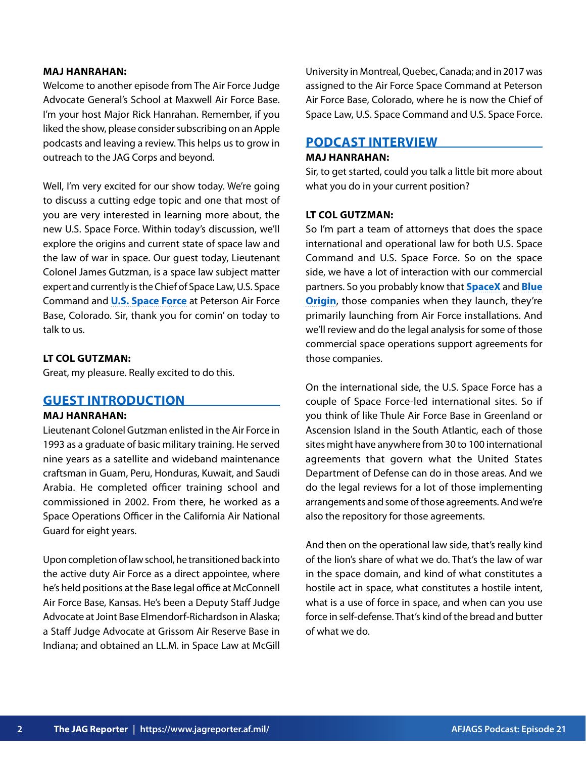#### **MAJ HANRAHAN:**

Welcome to another episode from The Air Force Judge Advocate General's School at Maxwell Air Force Base. I'm your host Major Rick Hanrahan. Remember, if you liked the show, please consider subscribing on an Apple podcasts and leaving a review. This helps us to grow in outreach to the JAG Corps and beyond.

Well, I'm very excited for our show today. We're going to discuss a cutting edge topic and one that most of you are very interested in learning more about, the new U.S. Space Force. Within today's discussion, we'll explore the origins and current state of space law and the law of war in space. Our guest today, Lieutenant Colonel James Gutzman, is a space law subject matter expert and currently is the Chief of Space Law, U.S. Space Command and **[U.S. Space Force](https://www.spaceforce.mil/)** at Peterson Air Force Base, Colorado. Sir, thank you for comin' on today to talk to us.

# **LT COL GUTZMAN:**

Great, my pleasure. Really excited to do this.

# **GUEST INTRODUCTION**

# **MAJ HANRAHAN:**

Lieutenant Colonel Gutzman enlisted in the Air Force in 1993 as a graduate of basic military training. He served nine years as a satellite and wideband maintenance craftsman in Guam, Peru, Honduras, Kuwait, and Saudi Arabia. He completed officer training school and commissioned in 2002. From there, he worked as a Space Operations Officer in the California Air National Guard for eight years.

Upon completion of law school, he transitioned back into the active duty Air Force as a direct appointee, where he's held positions at the Base legal office at McConnell Air Force Base, Kansas. He's been a Deputy Staff Judge Advocate at Joint Base Elmendorf-Richardson in Alaska; a Staff Judge Advocate at Grissom Air Reserve Base in Indiana; and obtained an LL.M. in Space Law at McGill

University in Montreal, Quebec, Canada; and in 2017 was assigned to the Air Force Space Command at Peterson Air Force Base, Colorado, where he is now the Chief of Space Law, U.S. Space Command and U.S. Space Force.

# **PODCAST INTERVIEW**

#### **MAJ HANRAHAN:**

Sir, to get started, could you talk a little bit more about what you do in your current position?

#### **LT COL GUTZMAN:**

So I'm part a team of attorneys that does the space international and operational law for both U.S. Space Command and U.S. Space Force. So on the space side, we have a lot of interaction with our commercial partners. So you probably know that **[SpaceX](https://www.spacex.com/)** and **[Blue](https://www.blueorigin.com/) [Origin](https://www.blueorigin.com/)**, those companies when they launch, they're primarily launching from Air Force installations. And we'll review and do the legal analysis for some of those commercial space operations support agreements for those companies.

On the international side, the U.S. Space Force has a couple of Space Force-led international sites. So if you think of like Thule Air Force Base in Greenland or Ascension Island in the South Atlantic, each of those sites might have anywhere from 30 to 100 international agreements that govern what the United States Department of Defense can do in those areas. And we do the legal reviews for a lot of those implementing arrangements and some of those agreements. And we're also the repository for those agreements.

And then on the operational law side, that's really kind of the lion's share of what we do. That's the law of war in the space domain, and kind of what constitutes a hostile act in space, what constitutes a hostile intent, what is a use of force in space, and when can you use force in self-defense. That's kind of the bread and butter of what we do.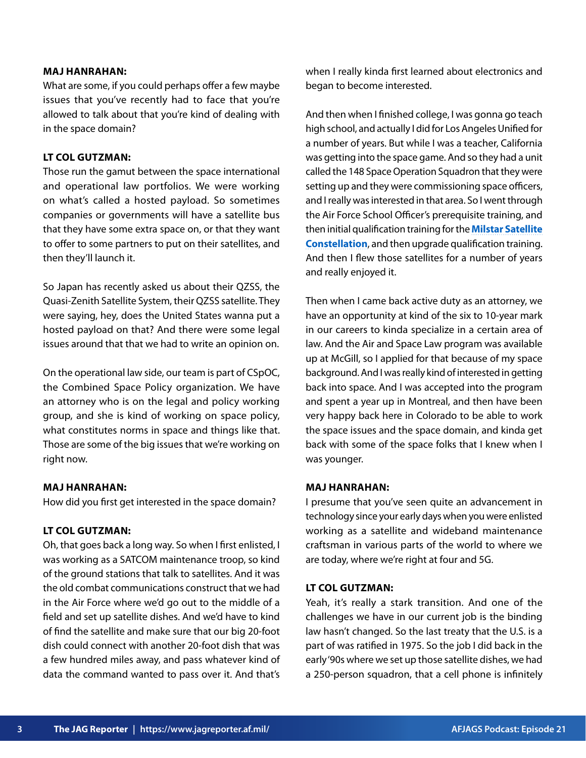#### **MAJ HANRAHAN:**

What are some, if you could perhaps offer a few maybe issues that you've recently had to face that you're allowed to talk about that you're kind of dealing with in the space domain?

# **LT COL GUTZMAN:**

Those run the gamut between the space international and operational law portfolios. We were working on what's called a hosted payload. So sometimes companies or governments will have a satellite bus that they have some extra space on, or that they want to offer to some partners to put on their satellites, and then they'll launch it.

So Japan has recently asked us about their QZSS, the Quasi-Zenith Satellite System, their QZSS satellite. They were saying, hey, does the United States wanna put a hosted payload on that? And there were some legal issues around that that we had to write an opinion on.

On the operational law side, our team is part of CSpOC, the Combined Space Policy organization. We have an attorney who is on the legal and policy working group, and she is kind of working on space policy, what constitutes norms in space and things like that. Those are some of the big issues that we're working on right now.

#### **MAJ HANRAHAN:**

How did you first get interested in the space domain?

#### **LT COL GUTZMAN:**

Oh, that goes back a long way. So when I first enlisted, I was working as a SATCOM maintenance troop, so kind of the ground stations that talk to satellites. And it was the old combat communications construct that we had in the Air Force where we'd go out to the middle of a field and set up satellite dishes. And we'd have to kind of find the satellite and make sure that our big 20-foot dish could connect with another 20-foot dish that was a few hundred miles away, and pass whatever kind of data the command wanted to pass over it. And that's

when I really kinda first learned about electronics and began to become interested.

And then when I finished college, I was gonna go teach high school, and actually I did for Los Angeles Unified for a number of years. But while I was a teacher, California was getting into the space game. And so they had a unit called the 148 Space Operation Squadron that they were setting up and they were commissioning space officers, and I really was interested in that area. So I went through the Air Force School Officer's prerequisite training, and then initial qualification training for the **[Milstar Satellite](https://www.af.mil/About-Us/Fact-Sheets/Display/Article/104563/milstar-satellite-communications-system/) [Constellation](https://www.af.mil/About-Us/Fact-Sheets/Display/Article/104563/milstar-satellite-communications-system/)**, and then upgrade qualification training. And then I flew those satellites for a number of years and really enjoyed it.

Then when I came back active duty as an attorney, we have an opportunity at kind of the six to 10-year mark in our careers to kinda specialize in a certain area of law. And the Air and Space Law program was available up at McGill, so I applied for that because of my space background. And I was really kind of interested in getting back into space. And I was accepted into the program and spent a year up in Montreal, and then have been very happy back here in Colorado to be able to work the space issues and the space domain, and kinda get back with some of the space folks that I knew when I was younger.

#### **MAJ HANRAHAN:**

I presume that you've seen quite an advancement in technology since your early days when you were enlisted working as a satellite and wideband maintenance craftsman in various parts of the world to where we are today, where we're right at four and 5G.

# **LT COL GUTZMAN:**

Yeah, it's really a stark transition. And one of the challenges we have in our current job is the binding law hasn't changed. So the last treaty that the U.S. is a part of was ratified in 1975. So the job I did back in the early '90s where we set up those satellite dishes, we had a 250-person squadron, that a cell phone is infinitely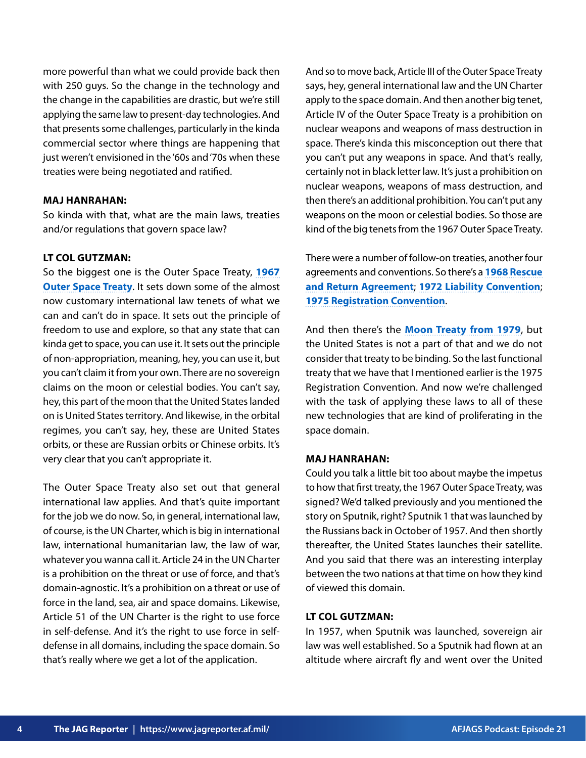more powerful than what we could provide back then with 250 guys. So the change in the technology and the change in the capabilities are drastic, but we're still applying the same law to present-day technologies. And that presents some challenges, particularly in the kinda commercial sector where things are happening that just weren't envisioned in the '60s and '70s when these treaties were being negotiated and ratified.

# **MAJ HANRAHAN:**

So kinda with that, what are the main laws, treaties and/or regulations that govern space law?

# **LT COL GUTZMAN:**

So the biggest one is the Outer Space Treaty, **[1967](https://www.unoosa.org/pdf/publications/STSPACE11E.pdf) [Outer Space Treaty](https://www.unoosa.org/pdf/publications/STSPACE11E.pdf)**. It sets down some of the almost now customary international law tenets of what we can and can't do in space. It sets out the principle of freedom to use and explore, so that any state that can kinda get to space, you can use it. It sets out the principle of non-appropriation, meaning, hey, you can use it, but you can't claim it from your own. There are no sovereign claims on the moon or celestial bodies. You can't say, hey, this part of the moon that the United States landed on is United States territory. And likewise, in the orbital regimes, you can't say, hey, these are United States orbits, or these are Russian orbits or Chinese orbits. It's very clear that you can't appropriate it.

The Outer Space Treaty also set out that general international law applies. And that's quite important for the job we do now. So, in general, international law, of course, is the UN Charter, which is big in international law, international humanitarian law, the law of war, whatever you wanna call it. Article 24 in the UN Charter is a prohibition on the threat or use of force, and that's domain-agnostic. It's a prohibition on a threat or use of force in the land, sea, air and space domains. Likewise, Article 51 of the UN Charter is the right to use force in self-defense. And it's the right to use force in selfdefense in all domains, including the space domain. So that's really where we get a lot of the application.

And so to move back, Article III of the Outer Space Treaty says, hey, general international law and the UN Charter apply to the space domain. And then another big tenet, Article IV of the Outer Space Treaty is a prohibition on nuclear weapons and weapons of mass destruction in space. There's kinda this misconception out there that you can't put any weapons in space. And that's really, certainly not in black letter law. It's just a prohibition on nuclear weapons, weapons of mass destruction, and then there's an additional prohibition. You can't put any weapons on the moon or celestial bodies. So those are kind of the big tenets from the 1967 Outer Space Treaty.

There were a number of follow-on treaties, another four agreements and conventions. So there's a **[1968 Rescue](https://www.unoosa.org/oosa/en/ourwork/spacelaw/treaties/introrescueagreement.html)  [and Return Agreement](https://www.unoosa.org/oosa/en/ourwork/spacelaw/treaties/introrescueagreement.html)**; **[1972 Liability Convention](https://www.unoosa.org/oosa/en/ourwork/spacelaw/treaties/introliability-convention.html)**; **[1975 Registration Convention](https://www.unoosa.org/oosa/en/ourwork/spacelaw/treaties/introregistration-convention.html)**.

And then there's the **[Moon Treaty from 1979](https://www.unoosa.org/oosa/en/ourwork/spacelaw/treaties/intromoon-agreement.html#:~:text=The%20Moon%20Agreement%20was%20considered,into%20force%20in%20July%201984.)**, but the United States is not a part of that and we do not consider that treaty to be binding. So the last functional treaty that we have that I mentioned earlier is the 1975 Registration Convention. And now we're challenged with the task of applying these laws to all of these new technologies that are kind of proliferating in the space domain.

# **MAJ HANRAHAN:**

Could you talk a little bit too about maybe the impetus to how that first treaty, the 1967 Outer Space Treaty, was signed? We'd talked previously and you mentioned the story on Sputnik, right? Sputnik 1 that was launched by the Russians back in October of 1957. And then shortly thereafter, the United States launches their satellite. And you said that there was an interesting interplay between the two nations at that time on how they kind of viewed this domain.

# **LT COL GUTZMAN:**

In 1957, when Sputnik was launched, sovereign air law was well established. So a Sputnik had flown at an altitude where aircraft fly and went over the United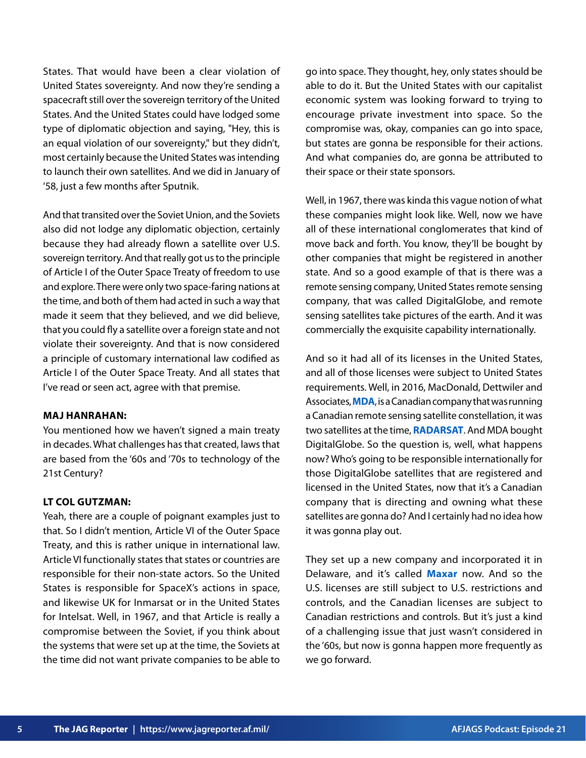States. That would have been a clear violation of United States sovereignty. And now they're sending a spacecraft still over the sovereign territory of the United States. And the United States could have lodged some type of diplomatic objection and saying, "Hey, this is an equal violation of our sovereignty," but they didn't, most certainly because the United States was intending to launch their own satellites. And we did in January of '58, just a few months after Sputnik.

And that transited over the Soviet Union, and the Soviets also did not lodge any diplomatic objection, certainly because they had already flown a satellite over U.S. sovereign territory. And that really got us to the principle of Article I of the Outer Space Treaty of freedom to use and explore. There were only two space-faring nations at the time, and both of them had acted in such a way that made it seem that they believed, and we did believe, that you could fly a satellite over a foreign state and not violate their sovereignty. And that is now considered a principle of customary international law codified as Article I of the Outer Space Treaty. And all states that I've read or seen act, agree with that premise.

# **MAJ HANRAHAN:**

You mentioned how we haven't signed a main treaty in decades. What challenges has that created, laws that are based from the '60s and '70s to technology of the 21st Century?

#### **LT COL GUTZMAN:**

Yeah, there are a couple of poignant examples just to that. So I didn't mention, Article VI of the Outer Space Treaty, and this is rather unique in international law. Article VI functionally states that states or countries are responsible for their non-state actors. So the United States is responsible for SpaceX's actions in space, and likewise UK for Inmarsat or in the United States for Intelsat. Well, in 1967, and that Article is really a compromise between the Soviet, if you think about the systems that were set up at the time, the Soviets at the time did not want private companies to be able to

go into space. They thought, hey, only states should be able to do it. But the United States with our capitalist economic system was looking forward to trying to encourage private investment into space. So the compromise was, okay, companies can go into space, but states are gonna be responsible for their actions. And what companies do, are gonna be attributed to their space or their state sponsors.

Well, in 1967, there was kinda this vague notion of what these companies might look like. Well, now we have all of these international conglomerates that kind of move back and forth. You know, they'll be bought by other companies that might be registered in another state. And so a good example of that is there was a remote sensing company, United States remote sensing company, that was called DigitalGlobe, and remote sensing satellites take pictures of the earth. And it was commercially the exquisite capability internationally.

And so it had all of its licenses in the United States, and all of those licenses were subject to United States requirements. Well, in 2016, MacDonald, Dettwiler and Associates, **[MDA](https://mda.space/en/)**, is a Canadian company that was running a Canadian remote sensing satellite constellation, it was two satellites at the time, **[RADARSAT](https://www.asc-csa.gc.ca/eng/satellites/radarsat/default.asp)**. And MDA bought DigitalGlobe. So the question is, well, what happens now? Who's going to be responsible internationally for those DigitalGlobe satellites that are registered and licensed in the United States, now that it's a Canadian company that is directing and owning what these satellites are gonna do? And I certainly had no idea how it was gonna play out.

They set up a new company and incorporated it in Delaware, and it's called **[Maxar](https://www.maxar.com/)** now. And so the U.S. licenses are still subject to U.S. restrictions and controls, and the Canadian licenses are subject to Canadian restrictions and controls. But it's just a kind of a challenging issue that just wasn't considered in the '60s, but now is gonna happen more frequently as we go forward.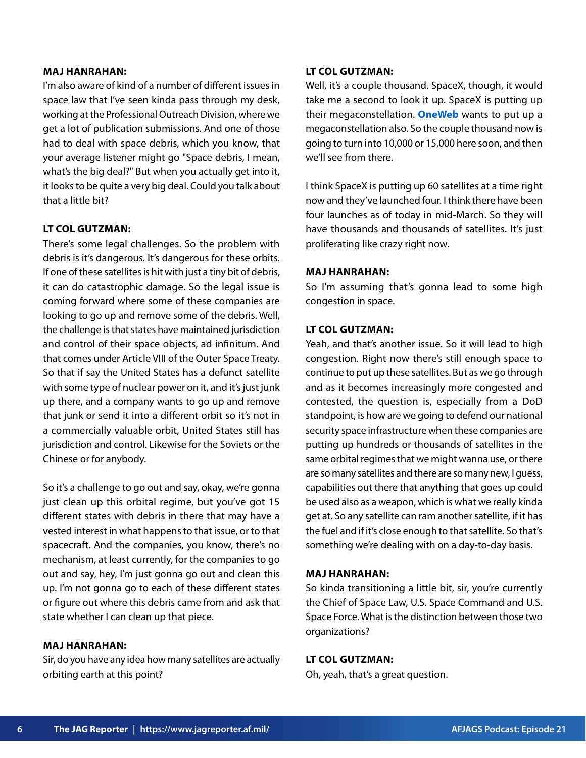#### **MAJ HANRAHAN:**

I'm also aware of kind of a number of different issues in space law that I've seen kinda pass through my desk, working at the Professional Outreach Division, where we get a lot of publication submissions. And one of those had to deal with space debris, which you know, that your average listener might go "Space debris, I mean, what's the big deal?" But when you actually get into it, it looks to be quite a very big deal. Could you talk about that a little bit?

# **LT COL GUTZMAN:**

There's some legal challenges. So the problem with debris is it's dangerous. It's dangerous for these orbits. If one of these satellites is hit with just a tiny bit of debris, it can do catastrophic damage. So the legal issue is coming forward where some of these companies are looking to go up and remove some of the debris. Well, the challenge is that states have maintained jurisdiction and control of their space objects, ad infinitum. And that comes under Article VIII of the Outer Space Treaty. So that if say the United States has a defunct satellite with some type of nuclear power on it, and it's just junk up there, and a company wants to go up and remove that junk or send it into a different orbit so it's not in a commercially valuable orbit, United States still has jurisdiction and control. Likewise for the Soviets or the Chinese or for anybody.

So it's a challenge to go out and say, okay, we're gonna just clean up this orbital regime, but you've got 15 different states with debris in there that may have a vested interest in what happens to that issue, or to that spacecraft. And the companies, you know, there's no mechanism, at least currently, for the companies to go out and say, hey, I'm just gonna go out and clean this up. I'm not gonna go to each of these different states or figure out where this debris came from and ask that state whether I can clean up that piece.

#### **MAJ HANRAHAN:**

Sir, do you have any idea how many satellites are actually orbiting earth at this point?

#### **LT COL GUTZMAN:**

Well, it's a couple thousand. SpaceX, though, it would take me a second to look it up. SpaceX is putting up their megaconstellation. **[OneWeb](https://oneweb.net/)** wants to put up a megaconstellation also. So the couple thousand now is going to turn into 10,000 or 15,000 here soon, and then we'll see from there.

I think SpaceX is putting up 60 satellites at a time right now and they've launched four. I think there have been four launches as of today in mid-March. So they will have thousands and thousands of satellites. It's just proliferating like crazy right now.

#### **MAJ HANRAHAN:**

So I'm assuming that's gonna lead to some high congestion in space.

#### **LT COL GUTZMAN:**

Yeah, and that's another issue. So it will lead to high congestion. Right now there's still enough space to continue to put up these satellites. But as we go through and as it becomes increasingly more congested and contested, the question is, especially from a DoD standpoint, is how are we going to defend our national security space infrastructure when these companies are putting up hundreds or thousands of satellites in the same orbital regimes that we might wanna use, or there are so many satellites and there are so many new, I guess, capabilities out there that anything that goes up could be used also as a weapon, which is what we really kinda get at. So any satellite can ram another satellite, if it has the fuel and if it's close enough to that satellite. So that's something we're dealing with on a day-to-day basis.

#### **MAJ HANRAHAN:**

So kinda transitioning a little bit, sir, you're currently the Chief of Space Law, U.S. Space Command and U.S. Space Force. What is the distinction between those two organizations?

#### **LT COL GUTZMAN:**

Oh, yeah, that's a great question.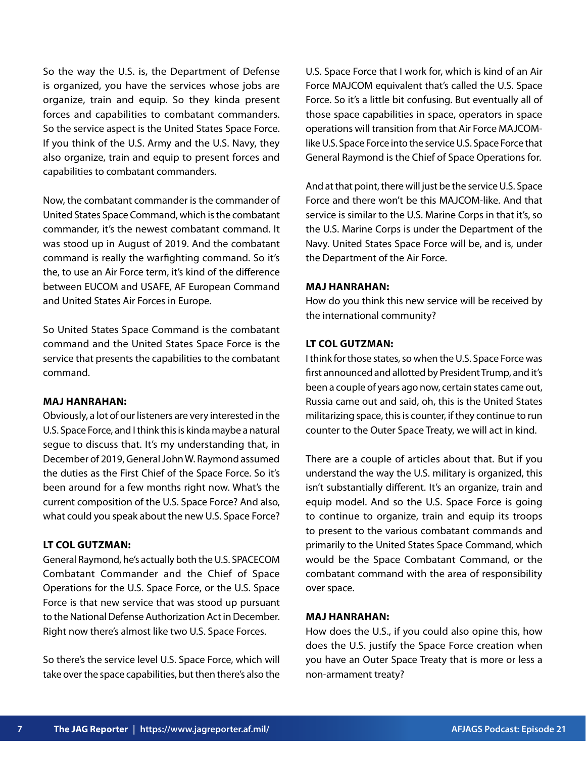So the way the U.S. is, the Department of Defense is organized, you have the services whose jobs are organize, train and equip. So they kinda present forces and capabilities to combatant commanders. So the service aspect is the United States Space Force. If you think of the U.S. Army and the U.S. Navy, they also organize, train and equip to present forces and capabilities to combatant commanders.

Now, the combatant commander is the commander of United States Space Command, which is the combatant commander, it's the newest combatant command. It was stood up in August of 2019. And the combatant command is really the warfighting command. So it's the, to use an Air Force term, it's kind of the difference between EUCOM and USAFE, AF European Command and United States Air Forces in Europe.

So United States Space Command is the combatant command and the United States Space Force is the service that presents the capabilities to the combatant command.

#### **MAJ HANRAHAN:**

Obviously, a lot of our listeners are very interested in the U.S. Space Force, and I think this is kinda maybe a natural segue to discuss that. It's my understanding that, in December of 2019, General John W. Raymond assumed the duties as the First Chief of the Space Force. So it's been around for a few months right now. What's the current composition of the U.S. Space Force? And also, what could you speak about the new U.S. Space Force?

#### **LT COL GUTZMAN:**

General Raymond, he's actually both the U.S. SPACECOM Combatant Commander and the Chief of Space Operations for the U.S. Space Force, or the U.S. Space Force is that new service that was stood up pursuant to the National Defense Authorization Act in December. Right now there's almost like two U.S. Space Forces.

So there's the service level U.S. Space Force, which will take over the space capabilities, but then there's also the U.S. Space Force that I work for, which is kind of an Air Force MAJCOM equivalent that's called the U.S. Space Force. So it's a little bit confusing. But eventually all of those space capabilities in space, operators in space operations will transition from that Air Force MAJCOMlike U.S. Space Force into the service U.S. Space Force that General Raymond is the Chief of Space Operations for.

And at that point, there will just be the service U.S. Space Force and there won't be this MAJCOM-like. And that service is similar to the U.S. Marine Corps in that it's, so the U.S. Marine Corps is under the Department of the Navy. United States Space Force will be, and is, under the Department of the Air Force.

#### **MAJ HANRAHAN:**

How do you think this new service will be received by the international community?

# **LT COL GUTZMAN:**

I think for those states, so when the U.S. Space Force was first announced and allotted by President Trump, and it's been a couple of years ago now, certain states came out, Russia came out and said, oh, this is the United States militarizing space, this is counter, if they continue to run counter to the Outer Space Treaty, we will act in kind.

There are a couple of articles about that. But if you understand the way the U.S. military is organized, this isn't substantially different. It's an organize, train and equip model. And so the U.S. Space Force is going to continue to organize, train and equip its troops to present to the various combatant commands and primarily to the United States Space Command, which would be the Space Combatant Command, or the combatant command with the area of responsibility over space.

#### **MAJ HANRAHAN:**

How does the U.S., if you could also opine this, how does the U.S. justify the Space Force creation when you have an Outer Space Treaty that is more or less a non-armament treaty?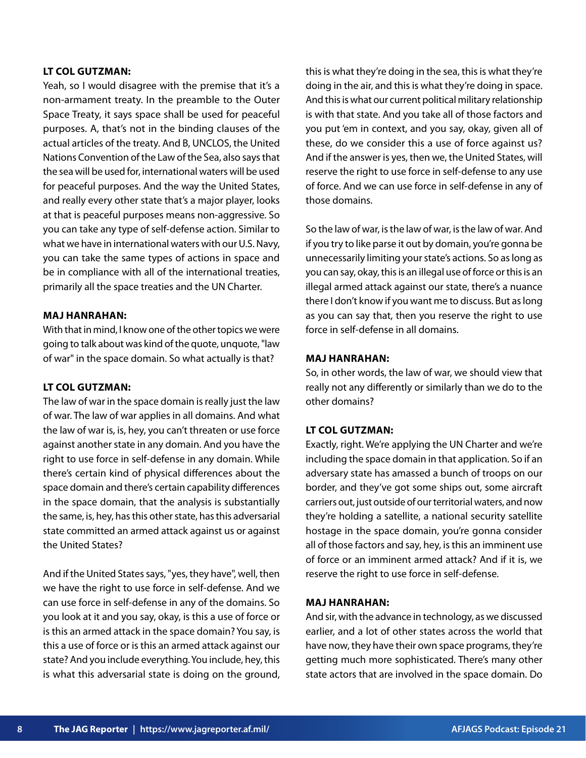#### **LT COL GUTZMAN:**

Yeah, so I would disagree with the premise that it's a non-armament treaty. In the preamble to the Outer Space Treaty, it says space shall be used for peaceful purposes. A, that's not in the binding clauses of the actual articles of the treaty. And B, UNCLOS, the United Nations Convention of the Law of the Sea, also says that the sea will be used for, international waters will be used for peaceful purposes. And the way the United States, and really every other state that's a major player, looks at that is peaceful purposes means non-aggressive. So you can take any type of self-defense action. Similar to what we have in international waters with our U.S. Navy, you can take the same types of actions in space and be in compliance with all of the international treaties, primarily all the space treaties and the UN Charter.

# **MAJ HANRAHAN:**

With that in mind, I know one of the other topics we were going to talk about was kind of the quote, unquote, "law of war" in the space domain. So what actually is that?

# **LT COL GUTZMAN:**

The law of war in the space domain is really just the law of war. The law of war applies in all domains. And what the law of war is, is, hey, you can't threaten or use force against another state in any domain. And you have the right to use force in self-defense in any domain. While there's certain kind of physical differences about the space domain and there's certain capability differences in the space domain, that the analysis is substantially the same, is, hey, has this other state, has this adversarial state committed an armed attack against us or against the United States?

And if the United States says, "yes, they have", well, then we have the right to use force in self-defense. And we can use force in self-defense in any of the domains. So you look at it and you say, okay, is this a use of force or is this an armed attack in the space domain? You say, is this a use of force or is this an armed attack against our state? And you include everything. You include, hey, this is what this adversarial state is doing on the ground, this is what they're doing in the sea, this is what they're doing in the air, and this is what they're doing in space. And this is what our current political military relationship is with that state. And you take all of those factors and you put 'em in context, and you say, okay, given all of these, do we consider this a use of force against us? And if the answer is yes, then we, the United States, will reserve the right to use force in self-defense to any use of force. And we can use force in self-defense in any of those domains.

So the law of war, is the law of war, is the law of war. And if you try to like parse it out by domain, you're gonna be unnecessarily limiting your state's actions. So as long as you can say, okay, this is an illegal use of force or this is an illegal armed attack against our state, there's a nuance there I don't know if you want me to discuss. But as long as you can say that, then you reserve the right to use force in self-defense in all domains.

#### **MAJ HANRAHAN:**

So, in other words, the law of war, we should view that really not any differently or similarly than we do to the other domains?

#### **LT COL GUTZMAN:**

Exactly, right. We're applying the UN Charter and we're including the space domain in that application. So if an adversary state has amassed a bunch of troops on our border, and they've got some ships out, some aircraft carriers out, just outside of our territorial waters, and now they're holding a satellite, a national security satellite hostage in the space domain, you're gonna consider all of those factors and say, hey, is this an imminent use of force or an imminent armed attack? And if it is, we reserve the right to use force in self-defense.

#### **MAJ HANRAHAN:**

And sir, with the advance in technology, as we discussed earlier, and a lot of other states across the world that have now, they have their own space programs, they're getting much more sophisticated. There's many other state actors that are involved in the space domain. Do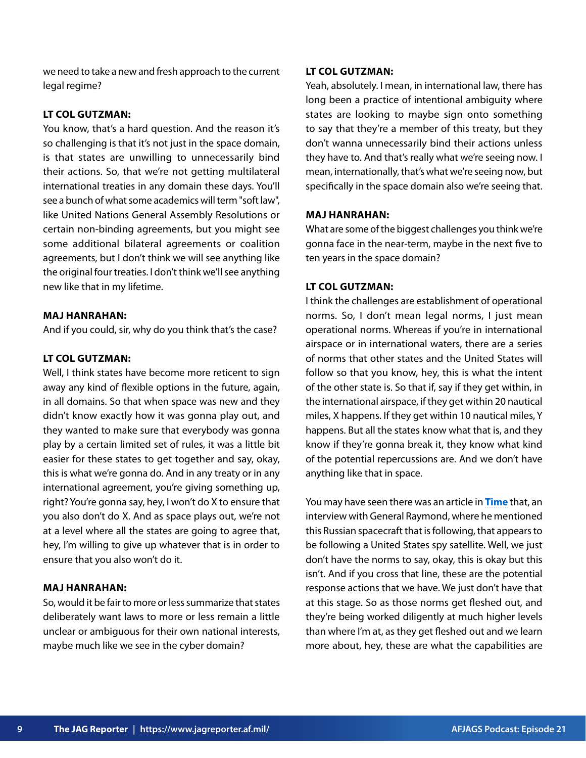we need to take a new and fresh approach to the current legal regime?

#### **LT COL GUTZMAN:**

You know, that's a hard question. And the reason it's so challenging is that it's not just in the space domain, is that states are unwilling to unnecessarily bind their actions. So, that we're not getting multilateral international treaties in any domain these days. You'll see a bunch of what some academics will term "soft law", like United Nations General Assembly Resolutions or certain non-binding agreements, but you might see some additional bilateral agreements or coalition agreements, but I don't think we will see anything like the original four treaties. I don't think we'll see anything new like that in my lifetime.

# **MAJ HANRAHAN:**

And if you could, sir, why do you think that's the case?

# **LT COL GUTZMAN:**

Well, I think states have become more reticent to sign away any kind of flexible options in the future, again, in all domains. So that when space was new and they didn't know exactly how it was gonna play out, and they wanted to make sure that everybody was gonna play by a certain limited set of rules, it was a little bit easier for these states to get together and say, okay, this is what we're gonna do. And in any treaty or in any international agreement, you're giving something up, right? You're gonna say, hey, I won't do X to ensure that you also don't do X. And as space plays out, we're not at a level where all the states are going to agree that, hey, I'm willing to give up whatever that is in order to ensure that you also won't do it.

# **MAJ HANRAHAN:**

So, would it be fair to more or less summarize that states deliberately want laws to more or less remain a little unclear or ambiguous for their own national interests, maybe much like we see in the cyber domain?

#### **LT COL GUTZMAN:**

Yeah, absolutely. I mean, in international law, there has long been a practice of intentional ambiguity where states are looking to maybe sign onto something to say that they're a member of this treaty, but they don't wanna unnecessarily bind their actions unless they have to. And that's really what we're seeing now. I mean, internationally, that's what we're seeing now, but specifically in the space domain also we're seeing that.

#### **MAJ HANRAHAN:**

What are some of the biggest challenges you think we're gonna face in the near-term, maybe in the next five to ten years in the space domain?

# **LT COL GUTZMAN:**

I think the challenges are establishment of operational norms. So, I don't mean legal norms, I just mean operational norms. Whereas if you're in international airspace or in international waters, there are a series of norms that other states and the United States will follow so that you know, hey, this is what the intent of the other state is. So that if, say if they get within, in the international airspace, if they get within 20 nautical miles, X happens. If they get within 10 nautical miles, Y happens. But all the states know what that is, and they know if they're gonna break it, they know what kind of the potential repercussions are. And we don't have anything like that in space.

You may have seen there was an article in **[Time](https://time.com/5779315/russian-spacecraft-spy-satellite-space-force/)** that, an interview with General Raymond, where he mentioned this Russian spacecraft that is following, that appears to be following a United States spy satellite. Well, we just don't have the norms to say, okay, this is okay but this isn't. And if you cross that line, these are the potential response actions that we have. We just don't have that at this stage. So as those norms get fleshed out, and they're being worked diligently at much higher levels than where I'm at, as they get fleshed out and we learn more about, hey, these are what the capabilities are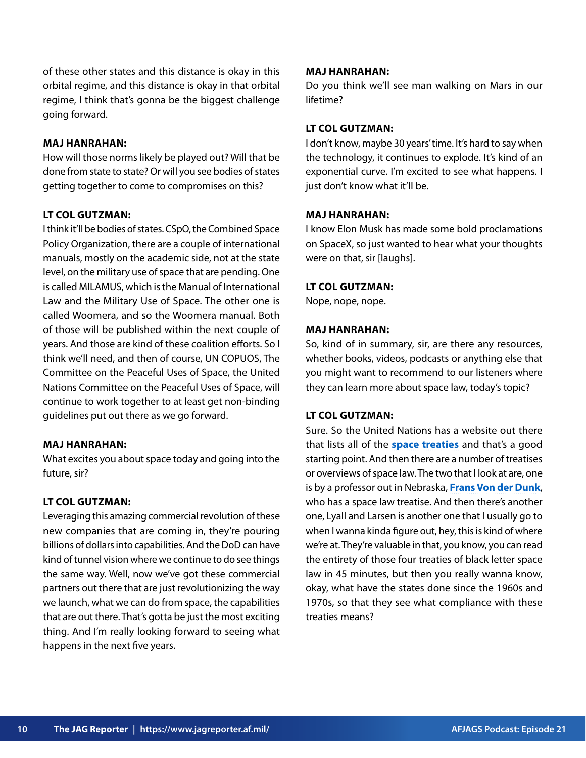of these other states and this distance is okay in this orbital regime, and this distance is okay in that orbital regime, I think that's gonna be the biggest challenge going forward.

# **MAJ HANRAHAN:**

How will those norms likely be played out? Will that be done from state to state? Or will you see bodies of states getting together to come to compromises on this?

# **LT COL GUTZMAN:**

I think it'll be bodies of states. CSpO, the Combined Space Policy Organization, there are a couple of international manuals, mostly on the academic side, not at the state level, on the military use of space that are pending. One is called MILAMUS, which is the Manual of International Law and the Military Use of Space. The other one is called Woomera, and so the Woomera manual. Both of those will be published within the next couple of years. And those are kind of these coalition efforts. So I think we'll need, and then of course, UN COPUOS, The Committee on the Peaceful Uses of Space, the United Nations Committee on the Peaceful Uses of Space, will continue to work together to at least get non-binding guidelines put out there as we go forward.

#### **MAJ HANRAHAN:**

What excites you about space today and going into the future, sir?

# **LT COL GUTZMAN:**

Leveraging this amazing commercial revolution of these new companies that are coming in, they're pouring billions of dollars into capabilities. And the DoD can have kind of tunnel vision where we continue to do see things the same way. Well, now we've got these commercial partners out there that are just revolutionizing the way we launch, what we can do from space, the capabilities that are out there. That's gotta be just the most exciting thing. And I'm really looking forward to seeing what happens in the next five years.

#### **MAJ HANRAHAN:**

Do you think we'll see man walking on Mars in our lifetime?

# **LT COL GUTZMAN:**

I don't know, maybe 30 years' time. It's hard to say when the technology, it continues to explode. It's kind of an exponential curve. I'm excited to see what happens. I just don't know what it'll be.

#### **MAJ HANRAHAN:**

I know Elon Musk has made some bold proclamations on SpaceX, so just wanted to hear what your thoughts were on that, sir [laughs].

# **LT COL GUTZMAN:**

Nope, nope, nope.

#### **MAJ HANRAHAN:**

So, kind of in summary, sir, are there any resources, whether books, videos, podcasts or anything else that you might want to recommend to our listeners where they can learn more about space law, today's topic?

# **LT COL GUTZMAN:**

Sure. So the United Nations has a website out there that lists all of the **[space treaties](https://www.unoosa.org/oosa/en/ourwork/spacelaw/treaties.html)** and that's a good starting point. And then there are a number of treatises or overviews of space law. The two that I look at are, one is by a professor out in Nebraska, **[Frans Von der Dunk](https://law.unl.edu/frans-von-der-dunk/)**, who has a space law treatise. And then there's another one, Lyall and Larsen is another one that I usually go to when I wanna kinda figure out, hey, this is kind of where we're at. They're valuable in that, you know, you can read the entirety of those four treaties of black letter space law in 45 minutes, but then you really wanna know, okay, what have the states done since the 1960s and 1970s, so that they see what compliance with these treaties means?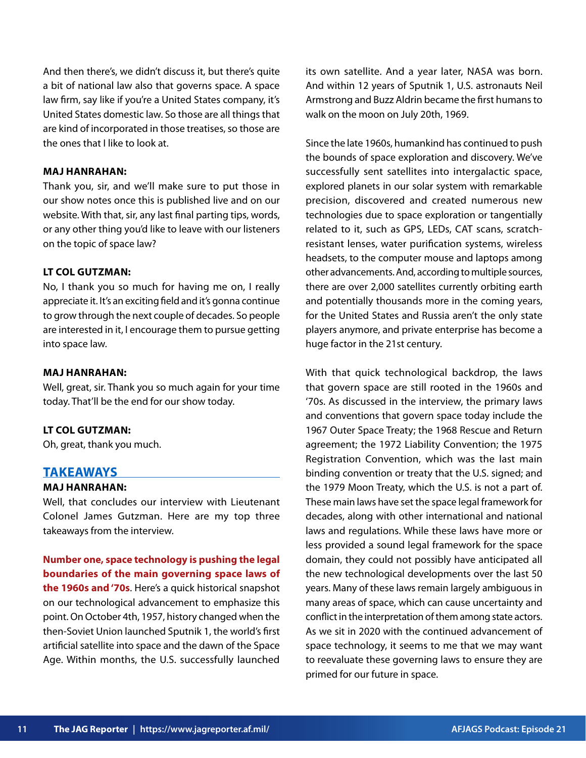And then there's, we didn't discuss it, but there's quite a bit of national law also that governs space. A space law firm, say like if you're a United States company, it's United States domestic law. So those are all things that are kind of incorporated in those treatises, so those are the ones that I like to look at.

#### **MAJ HANRAHAN:**

Thank you, sir, and we'll make sure to put those in our show notes once this is published live and on our website. With that, sir, any last final parting tips, words, or any other thing you'd like to leave with our listeners on the topic of space law?

#### **LT COL GUTZMAN:**

No, I thank you so much for having me on, I really appreciate it. It's an exciting field and it's gonna continue to grow through the next couple of decades. So people are interested in it, I encourage them to pursue getting into space law.

#### **MAJ HANRAHAN:**

Well, great, sir. Thank you so much again for your time today. That'll be the end for our show today.

#### **LT COL GUTZMAN:**

Oh, great, thank you much.

#### **TAKEAWAYS**

#### **MAJ HANRAHAN:**

Well, that concludes our interview with Lieutenant Colonel James Gutzman. Here are my top three takeaways from the interview.

**Number one, space technology is pushing the legal boundaries of the main governing space laws of the 1960s and '70s**. Here's a quick historical snapshot on our technological advancement to emphasize this point. On October 4th, 1957, history changed when the then-Soviet Union launched Sputnik 1, the world's first artificial satellite into space and the dawn of the Space Age. Within months, the U.S. successfully launched

its own satellite. And a year later, NASA was born. And within 12 years of Sputnik 1, U.S. astronauts Neil Armstrong and Buzz Aldrin became the first humans to walk on the moon on July 20th, 1969.

Since the late 1960s, humankind has continued to push the bounds of space exploration and discovery. We've successfully sent satellites into intergalactic space, explored planets in our solar system with remarkable precision, discovered and created numerous new technologies due to space exploration or tangentially related to it, such as GPS, LEDs, CAT scans, scratchresistant lenses, water purification systems, wireless headsets, to the computer mouse and laptops among other advancements. And, according to multiple sources, there are over 2,000 satellites currently orbiting earth and potentially thousands more in the coming years, for the United States and Russia aren't the only state players anymore, and private enterprise has become a huge factor in the 21st century.

With that quick technological backdrop, the laws that govern space are still rooted in the 1960s and '70s. As discussed in the interview, the primary laws and conventions that govern space today include the 1967 Outer Space Treaty; the 1968 Rescue and Return agreement; the 1972 Liability Convention; the 1975 Registration Convention, which was the last main binding convention or treaty that the U.S. signed; and the 1979 Moon Treaty, which the U.S. is not a part of. These main laws have set the space legal framework for decades, along with other international and national laws and regulations. While these laws have more or less provided a sound legal framework for the space domain, they could not possibly have anticipated all the new technological developments over the last 50 years. Many of these laws remain largely ambiguous in many areas of space, which can cause uncertainty and conflict in the interpretation of them among state actors. As we sit in 2020 with the continued advancement of space technology, it seems to me that we may want to reevaluate these governing laws to ensure they are primed for our future in space.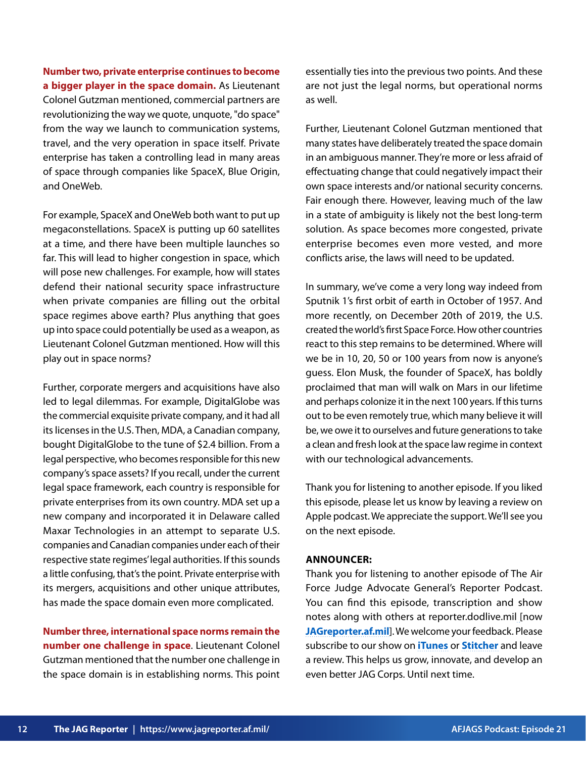**Number two, private enterprise continues to become a bigger player in the space domain.** As Lieutenant Colonel Gutzman mentioned, commercial partners are revolutionizing the way we quote, unquote, "do space" from the way we launch to communication systems, travel, and the very operation in space itself. Private enterprise has taken a controlling lead in many areas of space through companies like SpaceX, Blue Origin, and OneWeb.

For example, SpaceX and OneWeb both want to put up megaconstellations. SpaceX is putting up 60 satellites at a time, and there have been multiple launches so far. This will lead to higher congestion in space, which will pose new challenges. For example, how will states defend their national security space infrastructure when private companies are filling out the orbital space regimes above earth? Plus anything that goes up into space could potentially be used as a weapon, as Lieutenant Colonel Gutzman mentioned. How will this play out in space norms?

Further, corporate mergers and acquisitions have also led to legal dilemmas. For example, DigitalGlobe was the commercial exquisite private company, and it had all its licenses in the U.S. Then, MDA, a Canadian company, bought DigitalGlobe to the tune of \$2.4 billion. From a legal perspective, who becomes responsible for this new company's space assets? If you recall, under the current legal space framework, each country is responsible for private enterprises from its own country. MDA set up a new company and incorporated it in Delaware called Maxar Technologies in an attempt to separate U.S. companies and Canadian companies under each of their respective state regimes' legal authorities. If this sounds a little confusing, that's the point. Private enterprise with its mergers, acquisitions and other unique attributes, has made the space domain even more complicated.

**Number three, international space norms remain the number one challenge in space**. Lieutenant Colonel Gutzman mentioned that the number one challenge in the space domain is in establishing norms. This point essentially ties into the previous two points. And these are not just the legal norms, but operational norms as well.

Further, Lieutenant Colonel Gutzman mentioned that many states have deliberately treated the space domain in an ambiguous manner. They're more or less afraid of effectuating change that could negatively impact their own space interests and/or national security concerns. Fair enough there. However, leaving much of the law in a state of ambiguity is likely not the best long-term solution. As space becomes more congested, private enterprise becomes even more vested, and more conflicts arise, the laws will need to be updated.

In summary, we've come a very long way indeed from Sputnik 1's first orbit of earth in October of 1957. And more recently, on December 20th of 2019, the U.S. created the world's first Space Force. How other countries react to this step remains to be determined. Where will we be in 10, 20, 50 or 100 years from now is anyone's guess. Elon Musk, the founder of SpaceX, has boldly proclaimed that man will walk on Mars in our lifetime and perhaps colonize it in the next 100 years. If this turns out to be even remotely true, which many believe it will be, we owe it to ourselves and future generations to take a clean and fresh look at the space law regime in context with our technological advancements.

Thank you for listening to another episode. If you liked this episode, please let us know by leaving a review on Apple podcast. We appreciate the support. We'll see you on the next episode.

#### **ANNOUNCER:**

Thank you for listening to another episode of The Air Force Judge Advocate General's Reporter Podcast. You can find this episode, transcription and show notes along with others at reporter.dodlive.mil [now **[JAGreporter.af.mil](https://www.jagreporter.af.mil/Podcasts)**]. We welcome your feedback. Please subscribe to our show on **[iTunes](https://podcasts.apple.com/us/podcast/air-force-judge-advocate-generals-school-podcast/id1488359609)** or **[Stitcher](https://www.stitcher.com/show/air-force-judge-advocate-generals-school-podcast)** and leave a review. This helps us grow, innovate, and develop an even better JAG Corps. Until next time.